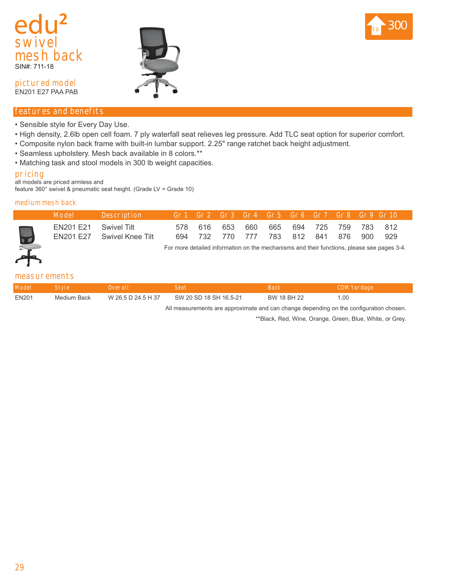



**pictured model** EN201 E27 PAA PAB

# **features and benefits**

- Sensible style for Every Day Use.
- High density, 2.6lb open cell foam. 7 ply waterfall seat relieves leg pressure. Add TLC seat option for superior comfort.
- Composite nylon back frame with built-in lumbar support. 2.25" range ratchet back height adjustment.
- Seamless upholstery. Mesh back available in 8 colors.\*\*
- Matching task and stool models in 300 lb weight capacities.

#### **pricing**

all models are priced armless and feature 360° swivel & pneumatic seat height. (Grade LV = Grade 10)

#### **medium mesh back**

| Model                 | <b>Description</b>         |  |  | Gr1 Gr2 Gr3 Gr4 Gr5 Gr6 Gr7 Gr8 Gr9 Gr10'                                          |  |  |  |
|-----------------------|----------------------------|--|--|------------------------------------------------------------------------------------|--|--|--|
| EN201 E21 Swivel Tilt | EN201 E27 Swivel Knee Tilt |  |  | 578 616 653 660 665 694 725 759 783 812<br>694 732 770 777 783 812 841 876 900 929 |  |  |  |

For more detailed information on the mechanisms and their functions, please see pages 3-4.

### **measurements**

| <b>Model</b> | <b>Style</b> | Overall            |                        | Back        | COM Yardage |
|--------------|--------------|--------------------|------------------------|-------------|-------------|
| EN201        | Medium Back  | W 26.5 D 24.5 H 37 | SW 20 SD 18 SH 16.5-21 | BW 18 BH 22 |             |

All measurements are approximate and can change depending on the configuration chosen.

\*\*Black, Red, Wine, Orange, Green, Blue, White, or Grey.